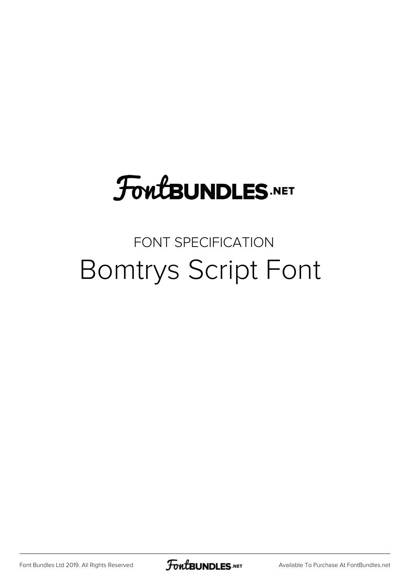# **FoutBUNDLES.NET**

## FONT SPECIFICATION Bomtrys Script Font

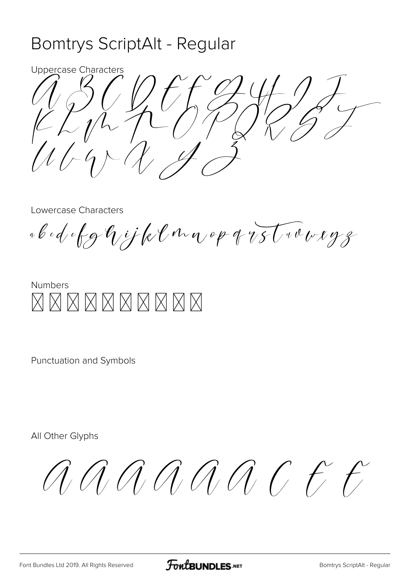### Bomtrys ScriptAlt - Regular

**Uppercase Characters** 

Lowercase Characters

«bedefghijklonn op 18 trousyg



Punctuation and Symbols

All Other Glyphs

AAAAAAC E F

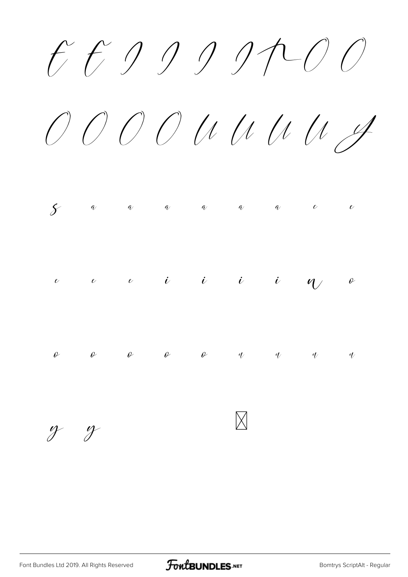E E I I I I P C O

Ô Õ Ö Ø Ù Ú Û ÜÝ

|  |  |  | $\begin{array}{ccccccccccccccccc} \mathcal{S} & & a & & a & & a & & a & & a & & c & & c \end{array}$       |  |
|--|--|--|------------------------------------------------------------------------------------------------------------|--|
|  |  |  | $\begin{array}{cccccccccccccccccc} e& & & e& & & i& &i& &i& &\psi& &\theta \end{array}$                    |  |
|  |  |  | $\begin{array}{ccccccccccccccccccccc} \rho & & \rho & & \rho & & \rho & & q & & q & & q & & q \end{array}$ |  |

ý ÿ

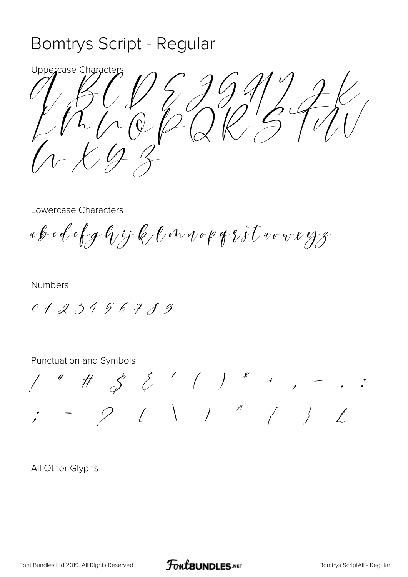#### Bomtrys Script - Regular

Uppercase Character  $\frac{1}{2}\sqrt{\frac{1}{2}}$  $\frac{1}{\sqrt{2}}\int d\theta$ 

Lowercase Characters

ab edefghijk (in vop gritwovergg

**Numbers** 

0123456789

Punctuation and Symbols

 $1''$  #  $5'$  {  $1''$  \* + , -<br>; = 9 { \ ) " { }

All Other Glyphs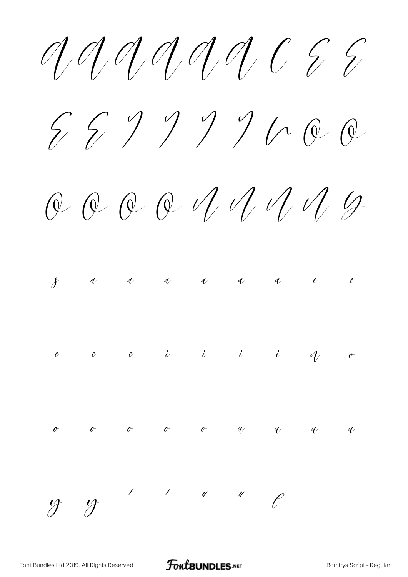$59999000$ 

 $QQQQVUU1QQQQ$ 



 $\gamma$   $\gamma$  $\mathcal{L}_{\mathcal{L}_{\mathcal{L}}}$  $\frac{1}{2}$   $\frac{1}{2}$   $\frac{1}{2}$   $\frac{1}{2}$   $\frac{1}{2}$  $\ell$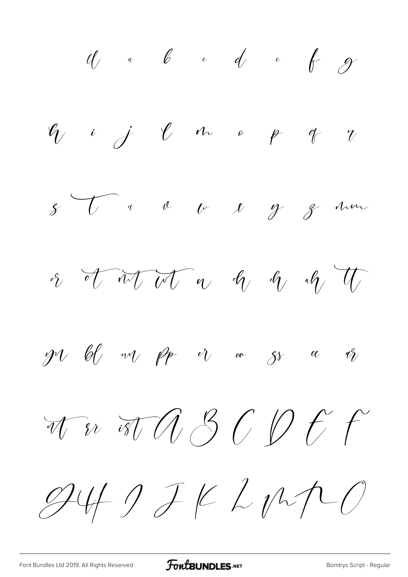$\frac{d}{d}$  a b c d e f g  $\ell_1$  i j  $\ell$  m o p q  $\gamma$  $8\begin{array}{ccccc} \end{array}$  of  $\begin{array}{ccccc} \end{array}$  of  $\begin{array}{ccccc} \end{array}$  of  $\begin{array}{ccccc} \end{array}$  of  $\begin{array}{ccccc} \end{array}$  of  $\begin{array}{ccccc} \end{array}$  of  $\begin{array}{ccccc} \end{array}$  of  $\begin{array}{ccccc} \end{array}$  of  $\begin{array}{ccccc} \end{array}$  of  $\begin{array}{ccccc} \end{array}$  of  $\begin{array}{ccccc} \end{array}$  of  $\begin{array}{ccccc} \end$ or of introducing the original strategy of the  $\mathscr{P}$  bij wij pp is oo gree b To ist A 3 C D & F  $9419JKLMPO$ 

[Font Bundles Ltd 2019. All Rights Reserved](https://fontbundles.net/) **FoutBUNDLES.NET** [Bomtrys Script - Regular](https://fontbundles.net/)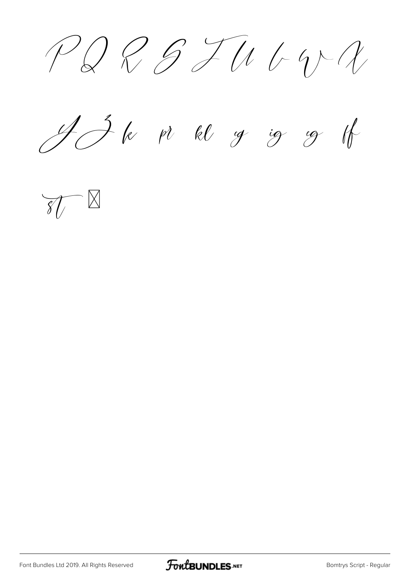$PQBTUCY$ 

ff



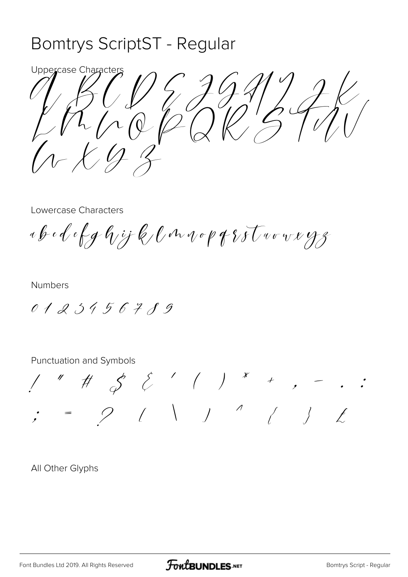### Bomtrys ScriptST - Regular

Uppercase Character  $\varphi$ 

Lowercase Characters

ab ed efghijk langopfrotworkyz

**Numbers** 

0123456789

Punctuation and Symbols

All Other Glyphs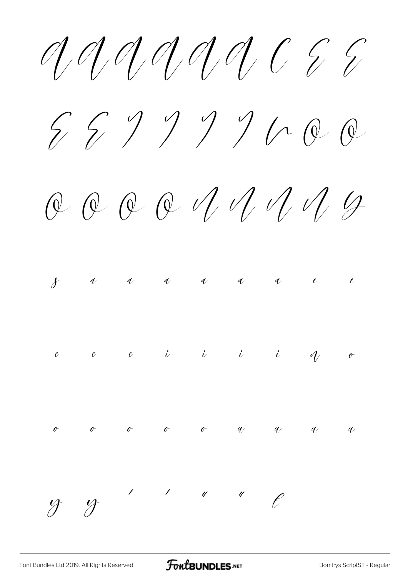$59999000$ 

 $QQQQVUU1QQQQ$ 



 $49$ 

 $\frac{1}{\sqrt{2}}$ 

 $\ell$ 

 $\mathcal{L}_{\mathcal{L}_{\mathcal{L}}}$